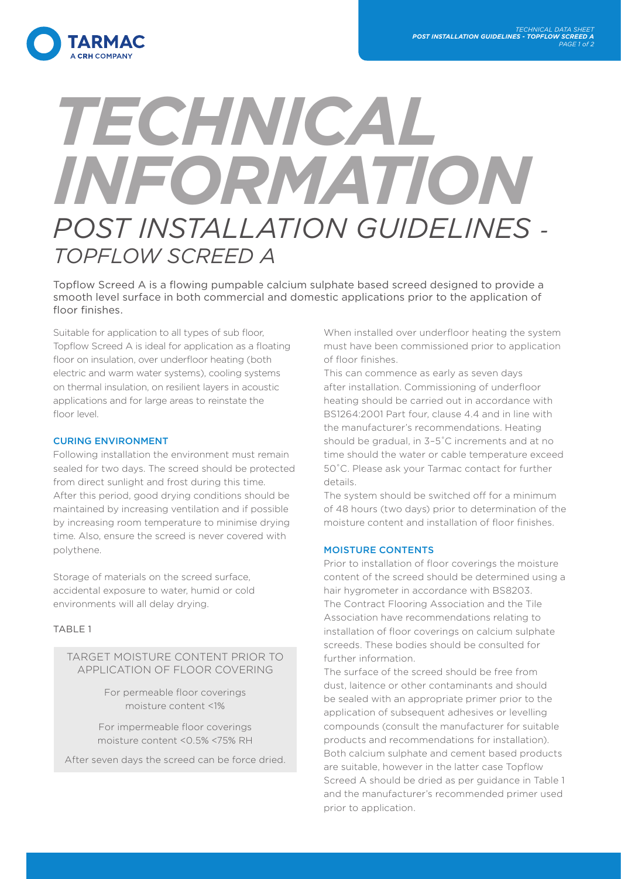

# *TECHNICAL INFORMATION POST INSTALLATION GUIDELINES - TOPFLOW SCREED A*

Topflow Screed A is a flowing pumpable calcium sulphate based screed designed to provide a smooth level surface in both commercial and domestic applications prior to the application of floor finishes.

Suitable for application to all types of sub floor, Topflow Screed A is ideal for application as a floating floor on insulation, over underfloor heating (both electric and warm water systems), cooling systems on thermal insulation, on resilient layers in acoustic applications and for large areas to reinstate the floor level.

## CURING ENVIRONMENT

Following installation the environment must remain sealed for two days. The screed should be protected from direct sunlight and frost during this time. After this period, good drying conditions should be maintained by increasing ventilation and if possible by increasing room temperature to minimise drying time. Also, ensure the screed is never covered with polythene.

Storage of materials on the screed surface, accidental exposure to water, humid or cold environments will all delay drying.

## TABLE 1

TARGET MOISTURE CONTENT PRIOR TO APPLICATION OF FLOOR COVERING

> For permeable floor coverings moisture content <1%

For impermeable floor coverings moisture content <0.5% <75% RH

After seven days the screed can be force dried.

When installed over underfloor heating the system must have been commissioned prior to application of floor finishes.

This can commence as early as seven days after installation. Commissioning of underfloor heating should be carried out in accordance with BS1264:2001 Part four, clause 4.4 and in line with the manufacturer's recommendations. Heating should be gradual, in 3–5˚C increments and at no time should the water or cable temperature exceed 50˚C. Please ask your Tarmac contact for further details.

The system should be switched off for a minimum of 48 hours (two days) prior to determination of the moisture content and installation of floor finishes.

## MOISTURE CONTENTS

Prior to installation of floor coverings the moisture content of the screed should be determined using a hair hygrometer in accordance with BS8203. The Contract Flooring Association and the Tile Association have recommendations relating to installation of floor coverings on calcium sulphate screeds. These bodies should be consulted for further information.

The surface of the screed should be free from dust, laitence or other contaminants and should be sealed with an appropriate primer prior to the application of subsequent adhesives or levelling compounds (consult the manufacturer for suitable products and recommendations for installation). Both calcium sulphate and cement based products are suitable, however in the latter case Topflow Screed A should be dried as per guidance in Table 1 and the manufacturer's recommended primer used prior to application.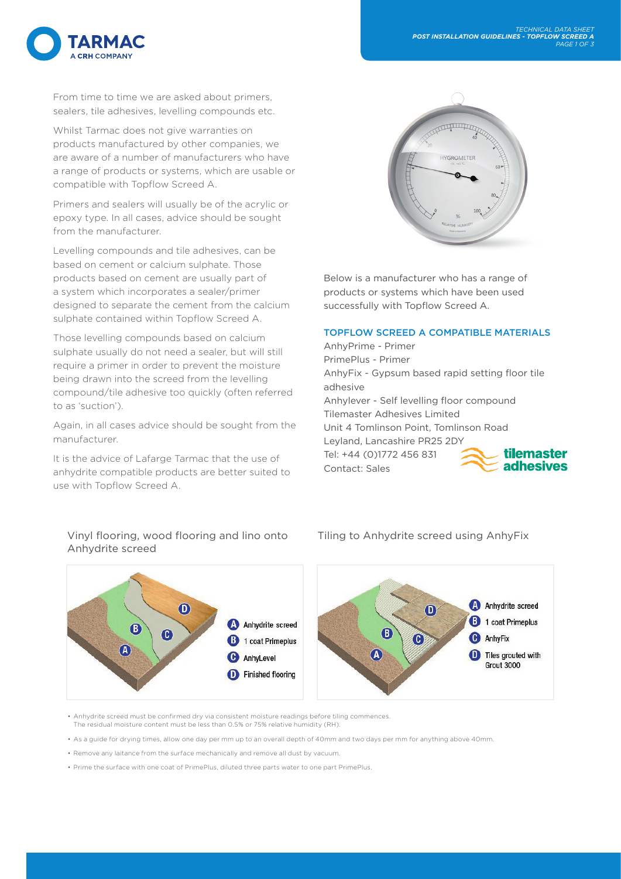From time to time we are asked about primers, sealers, tile adhesives, levelling compounds etc.

ΆΡΜΔΟ

Whilst Tarmac does not give warranties on products manufactured by other companies, we are aware of a number of manufacturers who have a range of products or systems, which are usable or compatible with Topflow Screed A.

Primers and sealers will usually be of the acrylic or epoxy type. In all cases, advice should be sought from the manufacturer.

Levelling compounds and tile adhesives, can be based on cement or calcium sulphate. Those products based on cement are usually part of a system which incorporates a sealer/primer designed to separate the cement from the calcium sulphate contained within Topflow Screed A.

Those levelling compounds based on calcium sulphate usually do not need a sealer, but will still require a primer in order to prevent the moisture being drawn into the screed from the levelling compound/tile adhesive too quickly (often referred to as 'suction').

Again, in all cases advice should be sought from the manufacturer.

It is the advice of Lafarge Tarmac that the use of anhydrite compatible products are better suited to use with Topflow Screed A.

Below is a manufacturer who has a range of products or systems which have been used successfully with Topflow Screed A.

## TOPFLOW SCREED A COMPATIBLE MATERIALS

AnhyPrime - Primer PrimePlus - Primer AnhyFix - Gypsum based rapid setting floor tile adhesive Anhylever - Self levelling floor compound Tilemaster Adhesives Limited Unit 4 Tomlinson Point, Tomlinson Road Leyland, Lancashire PR25 2DY tilemaster Tel: +44 (0)1772 456 831 **adhesives** Contact: Sales

## Anhydrite screed



Vinyl flooring, wood flooring and lino onto Tiling to Anhydrite screed using AnhyFix



• Anhydrite screed must be confirmed dry via consistent moisture readings before tiling commences. The residual moisture content must be less than 0.5% or 75% relative humidity (RH).

• As a guide for drying times, allow one day per mm up to an overall depth of 40mm and two days per mm for anything above 40mm.

• Remove any laitance from the surface mechanically and remove all dust by vacuum.

• Prime the surface with one coat of PrimePlus, diluted three parts water to one part PrimePlus.